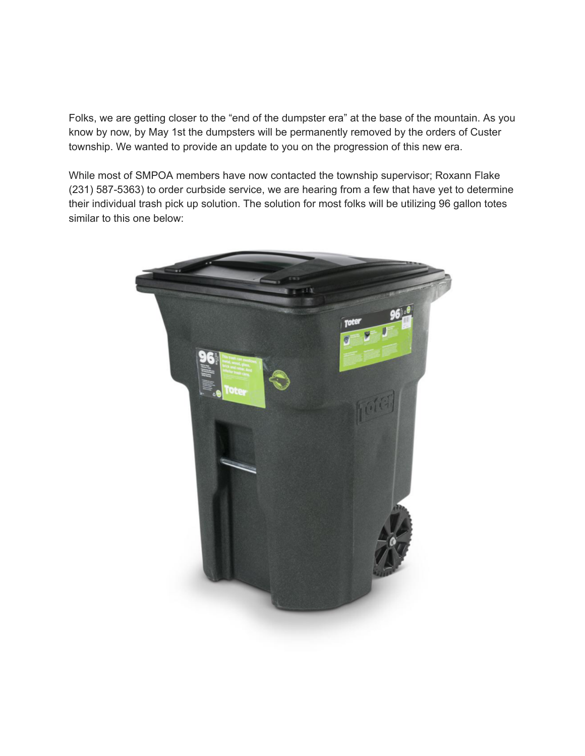Folks, we are getting closer to the "end of the dumpster era" at the base of the mountain. As you know by now, by May 1st the dumpsters will be permanently removed by the orders of Custer township. We wanted to provide an update to you on the progression of this new era.

While most of SMPOA members have now contacted the township supervisor; Roxann Flake (231) 587-5363) to order curbside service, we are hearing from a few that have yet to determine their individual trash pick up solution. The solution for most folks will be utilizing 96 gallon totes similar to this one below: